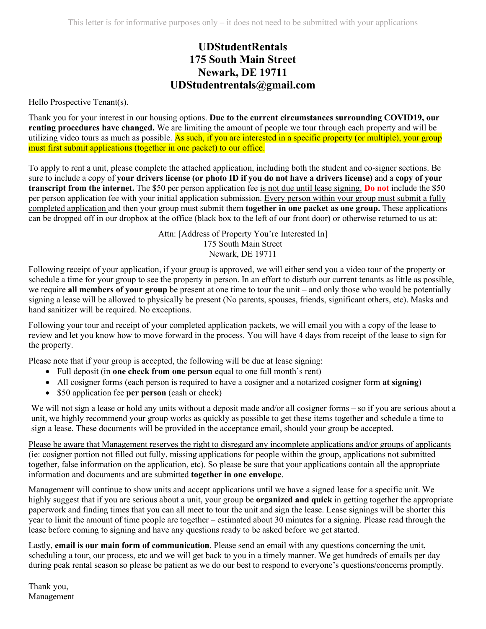## **UDStudentRentals 175 South Main Street Newark, DE 19711 UDStudentrentals@gmail.com**

Hello Prospective Tenant(s).

Thank you for your interest in our housing options. **Due to the current circumstances surrounding COVID19, our renting procedures have changed.** We are limiting the amount of people we tour through each property and will be utilizing video tours as much as possible. As such, if you are interested in a specific property (or multiple), your group must first submit applications (together in one packet) to our office.

To apply to rent a unit, please complete the attached application, including both the student and co-signer sections. Be sure to include a copy of **your drivers license (or photo ID if you do not have a drivers license)** and a **copy of your transcript from the internet.** The \$50 per person application fee is not due until lease signing. **Do not** include the \$50 per person application fee with your initial application submission. Every person within your group must submit a fully completed application and then your group must submit them **together in one packet as one group.** These applications can be dropped off in our dropbox at the office (black box to the left of our front door) or otherwise returned to us at:

> Attn: [Address of Property You're Interested In] 175 South Main Street Newark, DE 19711

Following receipt of your application, if your group is approved, we will either send you a video tour of the property or schedule a time for your group to see the property in person. In an effort to disturb our current tenants as little as possible, we require **all members of your group** be present at one time to tour the unit – and only those who would be potentially signing a lease will be allowed to physically be present (No parents, spouses, friends, significant others, etc). Masks and hand sanitizer will be required. No exceptions.

Following your tour and receipt of your completed application packets, we will email you with a copy of the lease to review and let you know how to move forward in the process. You will have 4 days from receipt of the lease to sign for the property.

Please note that if your group is accepted, the following will be due at lease signing:

- Full deposit (in **one check from one person** equal to one full month's rent)
- All cosigner forms (each person is required to have a cosigner and a notarized cosigner form **at signing**)
- \$50 application fee **per person** (cash or check)

We will not sign a lease or hold any units without a deposit made and/or all cosigner forms – so if you are serious about a unit, we highly recommend your group works as quickly as possible to get these items together and schedule a time to sign a lease. These documents will be provided in the acceptance email, should your group be accepted.

Please be aware that Management reserves the right to disregard any incomplete applications and/or groups of applicants (ie: cosigner portion not filled out fully, missing applications for people within the group, applications not submitted together, false information on the application, etc). So please be sure that your applications contain all the appropriate information and documents and are submitted **together in one envelope**.

Management will continue to show units and accept applications until we have a signed lease for a specific unit. We highly suggest that if you are serious about a unit, your group be **organized and quick** in getting together the appropriate paperwork and finding times that you can all meet to tour the unit and sign the lease. Lease signings will be shorter this year to limit the amount of time people are together – estimated about 30 minutes for a signing. Please read through the lease before coming to signing and have any questions ready to be asked before we get started.

Lastly, **email is our main form of communication**. Please send an email with any questions concerning the unit, scheduling a tour, our process, etc and we will get back to you in a timely manner. We get hundreds of emails per day during peak rental season so please be patient as we do our best to respond to everyone's questions/concerns promptly.

Thank you, Management